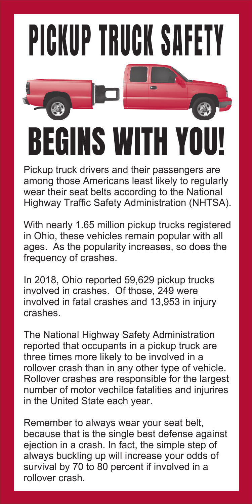## PICKUP TRUCK SAFETY

## BEGINS WITH YO

Pickup truck drivers and their passengers are among those Americans least likely to regularly wear their seat belts according to the National Highway Traffic Safety Administration (NHTSA).

With nearly 1.65 million pickup trucks registered in Ohio, these vehicles remain popular with all ages. As the popularity increases, so does the frequency of crashes.

In 2018, Ohio reported 59,629 pickup trucks involved in crashes. Of those, 249 were involved in fatal crashes and 13,953 in injury crashes.

The National Highway Safety Administration reported that occupants in a pickup truck are three times more likely to be involved in a rollover crash than in any other type of vehicle. Rollover crashes are responsible for the largest number of motor vechilce fatalities and injurires in the United State each year.

Remember to always wear your seat belt, because that is the single best defense against ejection in a crash. In fact, the simple step of always buckling up will increase your odds of survival by 70 to 80 percent if involved in a rollover crash.